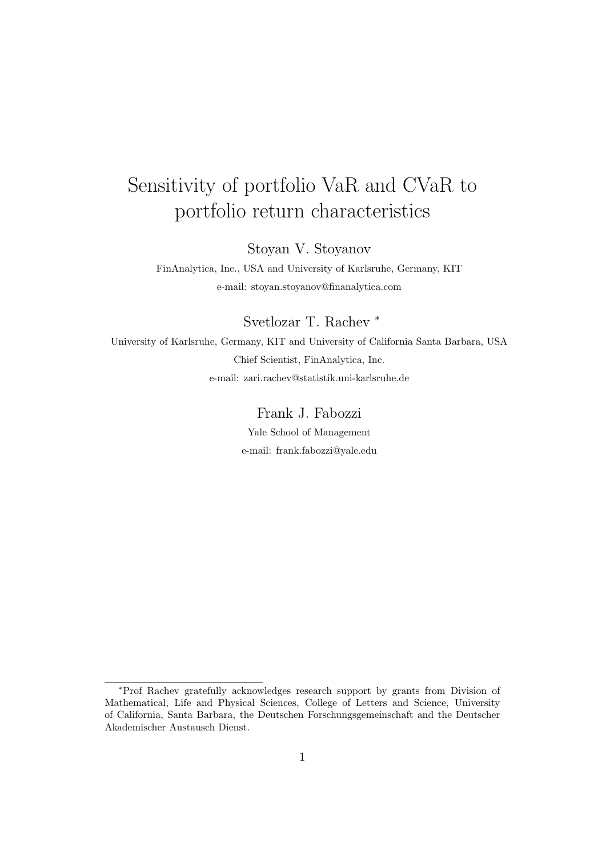# Sensitivity of portfolio VaR and CVaR to portfolio return characteristics

Stoyan V. Stoyanov

FinAnalytica, Inc., USA and University of Karlsruhe, Germany, KIT e-mail: stoyan.stoyanov@finanalytica.com

Svetlozar T. Rachev <sup>∗</sup>

University of Karlsruhe, Germany, KIT and University of California Santa Barbara, USA Chief Scientist, FinAnalytica, Inc. e-mail: zari.rachev@statistik.uni-karlsruhe.de

### Frank J. Fabozzi

Yale School of Management e-mail: frank.fabozzi@yale.edu

<sup>∗</sup>Prof Rachev gratefully acknowledges research support by grants from Division of Mathematical, Life and Physical Sciences, College of Letters and Science, University of California, Santa Barbara, the Deutschen Forschungsgemeinschaft and the Deutscher Akademischer Austausch Dienst.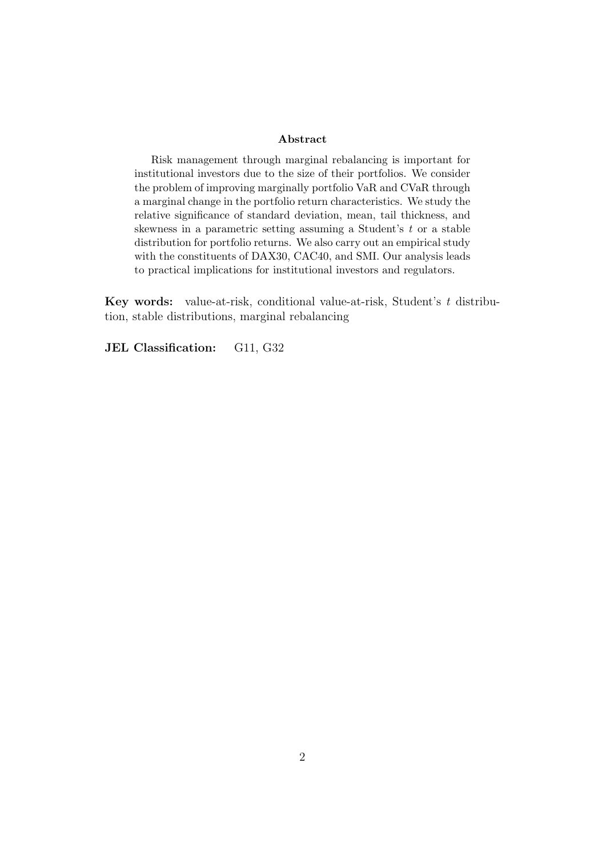#### Abstract

Risk management through marginal rebalancing is important for institutional investors due to the size of their portfolios. We consider the problem of improving marginally portfolio VaR and CVaR through a marginal change in the portfolio return characteristics. We study the relative significance of standard deviation, mean, tail thickness, and skewness in a parametric setting assuming a Student's t or a stable distribution for portfolio returns. We also carry out an empirical study with the constituents of DAX30, CAC40, and SMI. Our analysis leads to practical implications for institutional investors and regulators.

Key words: value-at-risk, conditional value-at-risk, Student's t distribution, stable distributions, marginal rebalancing

JEL Classification: G11, G32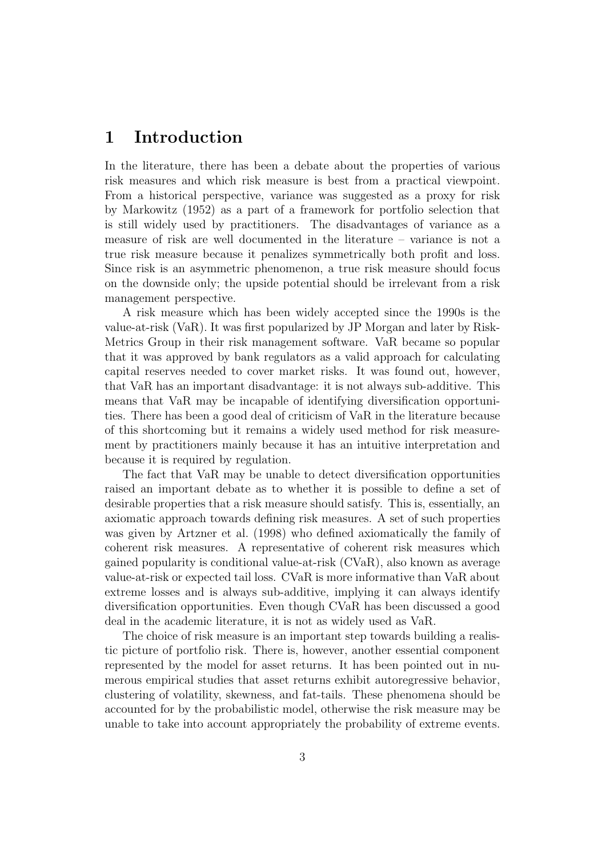# 1 Introduction

In the literature, there has been a debate about the properties of various risk measures and which risk measure is best from a practical viewpoint. From a historical perspective, variance was suggested as a proxy for risk by Markowitz (1952) as a part of a framework for portfolio selection that is still widely used by practitioners. The disadvantages of variance as a measure of risk are well documented in the literature – variance is not a true risk measure because it penalizes symmetrically both profit and loss. Since risk is an asymmetric phenomenon, a true risk measure should focus on the downside only; the upside potential should be irrelevant from a risk management perspective.

A risk measure which has been widely accepted since the 1990s is the value-at-risk (VaR). It was first popularized by JP Morgan and later by Risk-Metrics Group in their risk management software. VaR became so popular that it was approved by bank regulators as a valid approach for calculating capital reserves needed to cover market risks. It was found out, however, that VaR has an important disadvantage: it is not always sub-additive. This means that VaR may be incapable of identifying diversification opportunities. There has been a good deal of criticism of VaR in the literature because of this shortcoming but it remains a widely used method for risk measurement by practitioners mainly because it has an intuitive interpretation and because it is required by regulation.

The fact that VaR may be unable to detect diversification opportunities raised an important debate as to whether it is possible to define a set of desirable properties that a risk measure should satisfy. This is, essentially, an axiomatic approach towards defining risk measures. A set of such properties was given by Artzner et al. (1998) who defined axiomatically the family of coherent risk measures. A representative of coherent risk measures which gained popularity is conditional value-at-risk (CVaR), also known as average value-at-risk or expected tail loss. CVaR is more informative than VaR about extreme losses and is always sub-additive, implying it can always identify diversification opportunities. Even though CVaR has been discussed a good deal in the academic literature, it is not as widely used as VaR.

The choice of risk measure is an important step towards building a realistic picture of portfolio risk. There is, however, another essential component represented by the model for asset returns. It has been pointed out in numerous empirical studies that asset returns exhibit autoregressive behavior, clustering of volatility, skewness, and fat-tails. These phenomena should be accounted for by the probabilistic model, otherwise the risk measure may be unable to take into account appropriately the probability of extreme events.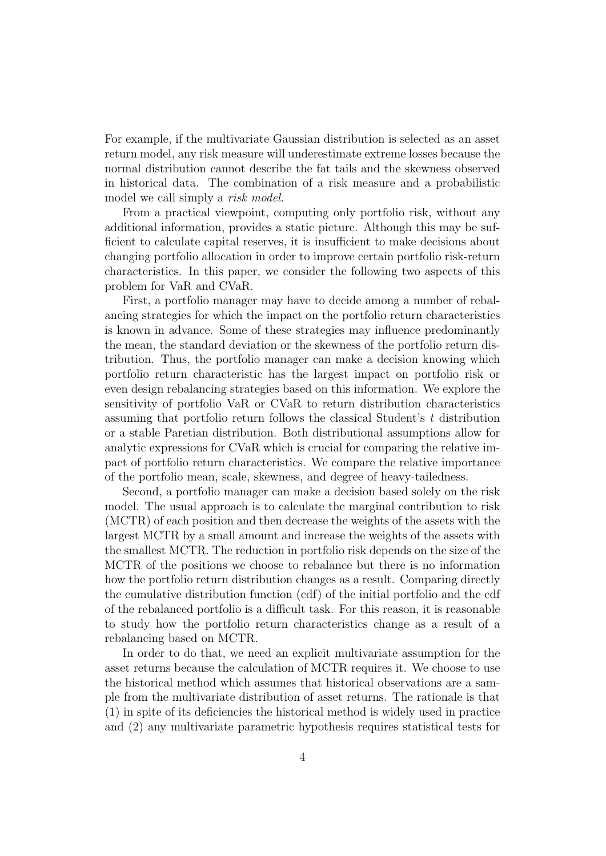For example, if the multivariate Gaussian distribution is selected as an asset return model, any risk measure will underestimate extreme losses because the normal distribution cannot describe the fat tails and the skewness observed in historical data. The combination of a risk measure and a probabilistic model we call simply a *risk model*.

From a practical viewpoint, computing only portfolio risk, without any additional information, provides a static picture. Although this may be sufficient to calculate capital reserves, it is insufficient to make decisions about changing portfolio allocation in order to improve certain portfolio risk-return characteristics. In this paper, we consider the following two aspects of this problem for VaR and CVaR.

First, a portfolio manager may have to decide among a number of rebalancing strategies for which the impact on the portfolio return characteristics is known in advance. Some of these strategies may influence predominantly the mean, the standard deviation or the skewness of the portfolio return distribution. Thus, the portfolio manager can make a decision knowing which portfolio return characteristic has the largest impact on portfolio risk or even design rebalancing strategies based on this information. We explore the sensitivity of portfolio VaR or CVaR to return distribution characteristics assuming that portfolio return follows the classical Student's t distribution or a stable Paretian distribution. Both distributional assumptions allow for analytic expressions for CVaR which is crucial for comparing the relative impact of portfolio return characteristics. We compare the relative importance of the portfolio mean, scale, skewness, and degree of heavy-tailedness.

Second, a portfolio manager can make a decision based solely on the risk model. The usual approach is to calculate the marginal contribution to risk (MCTR) of each position and then decrease the weights of the assets with the largest MCTR by a small amount and increase the weights of the assets with the smallest MCTR. The reduction in portfolio risk depends on the size of the MCTR of the positions we choose to rebalance but there is no information how the portfolio return distribution changes as a result. Comparing directly the cumulative distribution function (cdf) of the initial portfolio and the cdf of the rebalanced portfolio is a difficult task. For this reason, it is reasonable to study how the portfolio return characteristics change as a result of a rebalancing based on MCTR.

In order to do that, we need an explicit multivariate assumption for the asset returns because the calculation of MCTR requires it. We choose to use the historical method which assumes that historical observations are a sample from the multivariate distribution of asset returns. The rationale is that (1) in spite of its deficiencies the historical method is widely used in practice and (2) any multivariate parametric hypothesis requires statistical tests for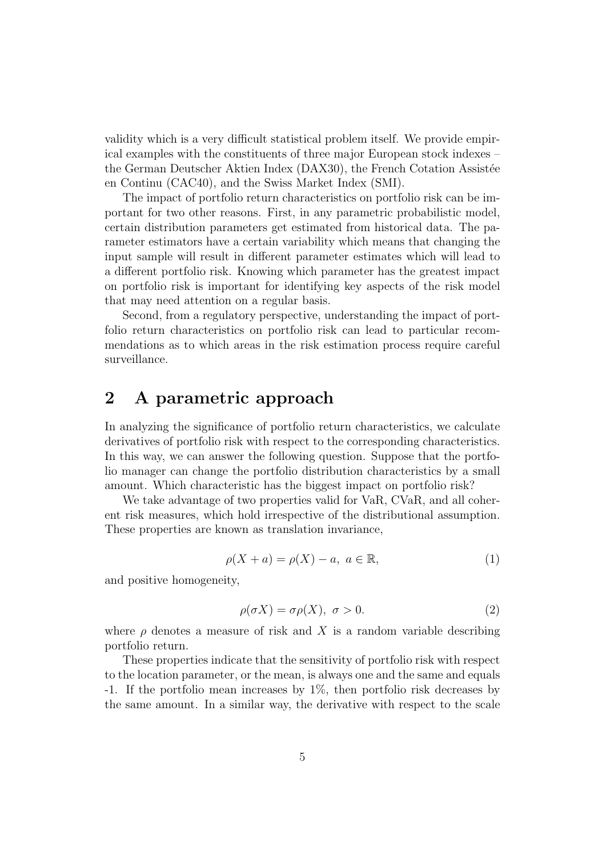validity which is a very difficult statistical problem itself. We provide empirical examples with the constituents of three major European stock indexes – the German Deutscher Aktien Index (DAX30), the French Cotation Assistée en Continu (CAC40), and the Swiss Market Index (SMI).

The impact of portfolio return characteristics on portfolio risk can be important for two other reasons. First, in any parametric probabilistic model, certain distribution parameters get estimated from historical data. The parameter estimators have a certain variability which means that changing the input sample will result in different parameter estimates which will lead to a different portfolio risk. Knowing which parameter has the greatest impact on portfolio risk is important for identifying key aspects of the risk model that may need attention on a regular basis.

Second, from a regulatory perspective, understanding the impact of portfolio return characteristics on portfolio risk can lead to particular recommendations as to which areas in the risk estimation process require careful surveillance.

# 2 A parametric approach

In analyzing the significance of portfolio return characteristics, we calculate derivatives of portfolio risk with respect to the corresponding characteristics. In this way, we can answer the following question. Suppose that the portfolio manager can change the portfolio distribution characteristics by a small amount. Which characteristic has the biggest impact on portfolio risk?

We take advantage of two properties valid for VaR, CVaR, and all coherent risk measures, which hold irrespective of the distributional assumption. These properties are known as translation invariance,

$$
\rho(X + a) = \rho(X) - a, \ a \in \mathbb{R}, \tag{1}
$$

and positive homogeneity,

$$
\rho(\sigma X) = \sigma \rho(X), \ \sigma > 0. \tag{2}
$$

where  $\rho$  denotes a measure of risk and X is a random variable describing portfolio return.

These properties indicate that the sensitivity of portfolio risk with respect to the location parameter, or the mean, is always one and the same and equals -1. If the portfolio mean increases by 1%, then portfolio risk decreases by the same amount. In a similar way, the derivative with respect to the scale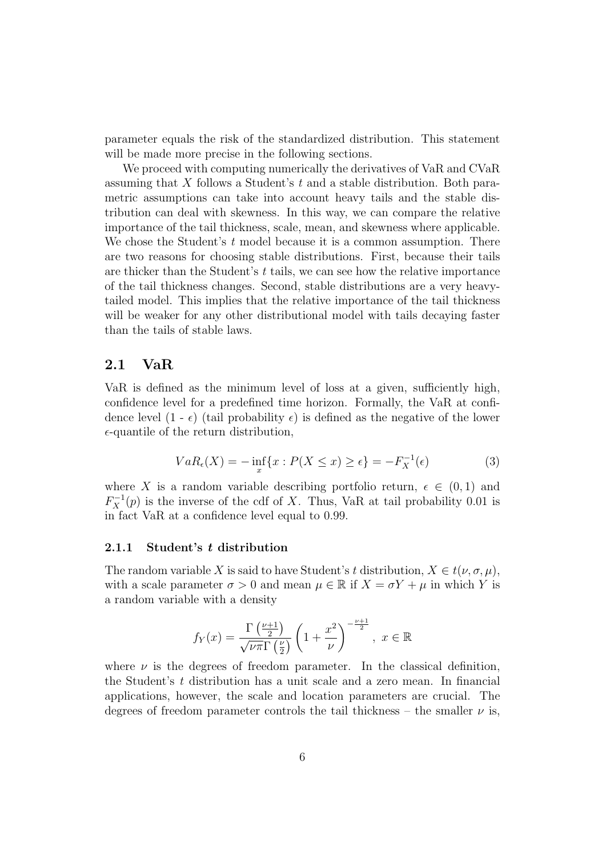parameter equals the risk of the standardized distribution. This statement will be made more precise in the following sections.

We proceed with computing numerically the derivatives of VaR and CVaR assuming that X follows a Student's t and a stable distribution. Both parametric assumptions can take into account heavy tails and the stable distribution can deal with skewness. In this way, we can compare the relative importance of the tail thickness, scale, mean, and skewness where applicable. We chose the Student's t model because it is a common assumption. There are two reasons for choosing stable distributions. First, because their tails are thicker than the Student's  $t$  tails, we can see how the relative importance of the tail thickness changes. Second, stable distributions are a very heavytailed model. This implies that the relative importance of the tail thickness will be weaker for any other distributional model with tails decaying faster than the tails of stable laws.

### 2.1 VaR

VaR is defined as the minimum level of loss at a given, sufficiently high, confidence level for a predefined time horizon. Formally, the VaR at confidence level  $(1 - \epsilon)$  (tail probability  $\epsilon$ ) is defined as the negative of the lower  $\epsilon$ -quantile of the return distribution,

$$
VaR_{\epsilon}(X) = -\inf_{x} \{x : P(X \le x) \ge \epsilon\} = -F_X^{-1}(\epsilon)
$$
\n(3)

where X is a random variable describing portfolio return,  $\epsilon \in (0,1)$  and  $F_X^{-1}(p)$  is the inverse of the cdf of X. Thus, VaR at tail probability 0.01 is in fact VaR at a confidence level equal to 0.99.

#### 2.1.1 Student's t distribution

The random variable X is said to have Student's t distribution,  $X \in t(\nu, \sigma, \mu)$ , with a scale parameter  $\sigma > 0$  and mean  $\mu \in \mathbb{R}$  if  $X = \sigma Y + \mu$  in which Y is a random variable with a density

$$
f_Y(x) = \frac{\Gamma\left(\frac{\nu+1}{2}\right)}{\sqrt{\nu \pi} \Gamma\left(\frac{\nu}{2}\right)} \left(1 + \frac{x^2}{\nu}\right)^{-\frac{\nu+1}{2}}, \ x \in \mathbb{R}
$$

where  $\nu$  is the degrees of freedom parameter. In the classical definition, the Student's t distribution has a unit scale and a zero mean. In financial applications, however, the scale and location parameters are crucial. The degrees of freedom parameter controls the tail thickness – the smaller  $\nu$  is,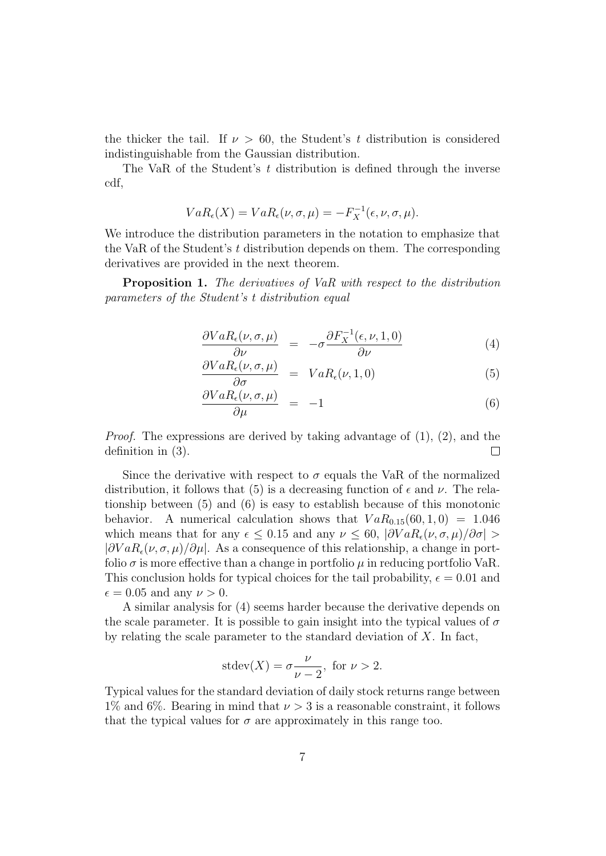the thicker the tail. If  $\nu > 60$ , the Student's t distribution is considered indistinguishable from the Gaussian distribution.

The VaR of the Student's t distribution is defined through the inverse cdf,

$$
VaR_{\epsilon}(X) = VaR_{\epsilon}(\nu, \sigma, \mu) = -F_X^{-1}(\epsilon, \nu, \sigma, \mu).
$$

We introduce the distribution parameters in the notation to emphasize that the VaR of the Student's  $t$  distribution depends on them. The corresponding derivatives are provided in the next theorem.

Proposition 1. The derivatives of VaR with respect to the distribution parameters of the Student's t distribution equal

$$
\frac{\partial VaR_{\epsilon}(\nu,\sigma,\mu)}{\partial\nu} = -\sigma \frac{\partial F_X^{-1}(\epsilon,\nu,1,0)}{\partial\nu}
$$
(4)

$$
\frac{\partial VaR_{\epsilon}(\nu,\sigma,\mu)}{\partial\sigma} = VaR_{\epsilon}(\nu,1,0) \tag{5}
$$

$$
\frac{\partial VaR_{\epsilon}(\nu,\sigma,\mu)}{\partial\mu} = -1 \tag{6}
$$

*Proof.* The expressions are derived by taking advantage of  $(1)$ ,  $(2)$ , and the definition in (3).  $\Box$ 

Since the derivative with respect to  $\sigma$  equals the VaR of the normalized distribution, it follows that (5) is a decreasing function of  $\epsilon$  and  $\nu$ . The relationship between (5) and (6) is easy to establish because of this monotonic behavior. A numerical calculation shows that  $VaR_{0.15}(60, 1, 0) = 1.046$ which means that for any  $\epsilon \leq 0.15$  and any  $\nu \leq 60$ ,  $|\partial VaR_{\epsilon}(\nu,\sigma,\mu)/\partial\sigma| >$  $|\partial VaR_{\epsilon}(\nu,\sigma,\mu)/\partial\mu|$ . As a consequence of this relationship, a change in portfolio  $\sigma$  is more effective than a change in portfolio  $\mu$  in reducing portfolio VaR. This conclusion holds for typical choices for the tail probability,  $\epsilon = 0.01$  and  $\epsilon = 0.05$  and any  $\nu > 0$ .

A similar analysis for (4) seems harder because the derivative depends on the scale parameter. It is possible to gain insight into the typical values of  $\sigma$ by relating the scale parameter to the standard deviation of  $X$ . In fact,

$$
stdev(X) = \sigma \frac{\nu}{\nu - 2}, \text{ for } \nu > 2.
$$

Typical values for the standard deviation of daily stock returns range between 1% and 6%. Bearing in mind that  $\nu > 3$  is a reasonable constraint, it follows that the typical values for  $\sigma$  are approximately in this range too.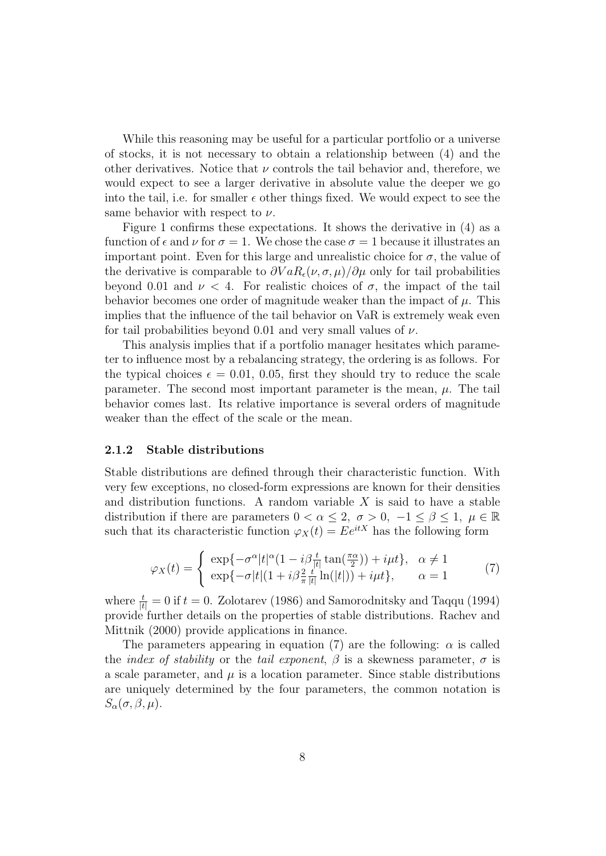While this reasoning may be useful for a particular portfolio or a universe of stocks, it is not necessary to obtain a relationship between (4) and the other derivatives. Notice that  $\nu$  controls the tail behavior and, therefore, we would expect to see a larger derivative in absolute value the deeper we go into the tail, i.e. for smaller  $\epsilon$  other things fixed. We would expect to see the same behavior with respect to  $\nu$ .

Figure 1 confirms these expectations. It shows the derivative in (4) as a function of  $\epsilon$  and  $\nu$  for  $\sigma = 1$ . We chose the case  $\sigma = 1$  because it illustrates an important point. Even for this large and unrealistic choice for  $\sigma$ , the value of the derivative is comparable to  $\partial VaR_{\epsilon}(\nu,\sigma,\mu)/\partial\mu$  only for tail probabilities beyond 0.01 and  $\nu < 4$ . For realistic choices of  $\sigma$ , the impact of the tail behavior becomes one order of magnitude weaker than the impact of  $\mu$ . This implies that the influence of the tail behavior on VaR is extremely weak even for tail probabilities beyond 0.01 and very small values of  $\nu$ .

This analysis implies that if a portfolio manager hesitates which parameter to influence most by a rebalancing strategy, the ordering is as follows. For the typical choices  $\epsilon = 0.01, 0.05$ , first they should try to reduce the scale parameter. The second most important parameter is the mean,  $\mu$ . The tail behavior comes last. Its relative importance is several orders of magnitude weaker than the effect of the scale or the mean.

#### 2.1.2 Stable distributions

Stable distributions are defined through their characteristic function. With very few exceptions, no closed-form expressions are known for their densities and distribution functions. A random variable  $X$  is said to have a stable distribution if there are parameters  $0 < \alpha \leq 2$ ,  $\sigma > 0$ ,  $-1 \leq \beta \leq 1$ ,  $\mu \in \mathbb{R}$ such that its characteristic function  $\varphi_X(t) = Ee^{itX}$  has the following form

$$
\varphi_X(t) = \begin{cases} \exp\{-\sigma^{\alpha}|t|^{\alpha}(1 - i\beta \frac{t}{|t|} \tan(\frac{\pi \alpha}{2})) + i\mu t\}, & \alpha \neq 1\\ \exp\{-\sigma|t|(1 + i\beta \frac{2}{\pi} \frac{t}{|t|} \ln(|t|)) + i\mu t\}, & \alpha = 1 \end{cases}
$$
(7)

where  $\frac{t}{|t|} = 0$  if  $t = 0$ . Zolotarev (1986) and Samorodnitsky and Taqqu (1994) provide further details on the properties of stable distributions. Rachev and Mittnik (2000) provide applications in finance.

The parameters appearing in equation (7) are the following:  $\alpha$  is called the *index of stability* or the *tail exponent*,  $\beta$  is a skewness parameter,  $\sigma$  is a scale parameter, and  $\mu$  is a location parameter. Since stable distributions are uniquely determined by the four parameters, the common notation is  $S_{\alpha}(\sigma,\beta,\mu).$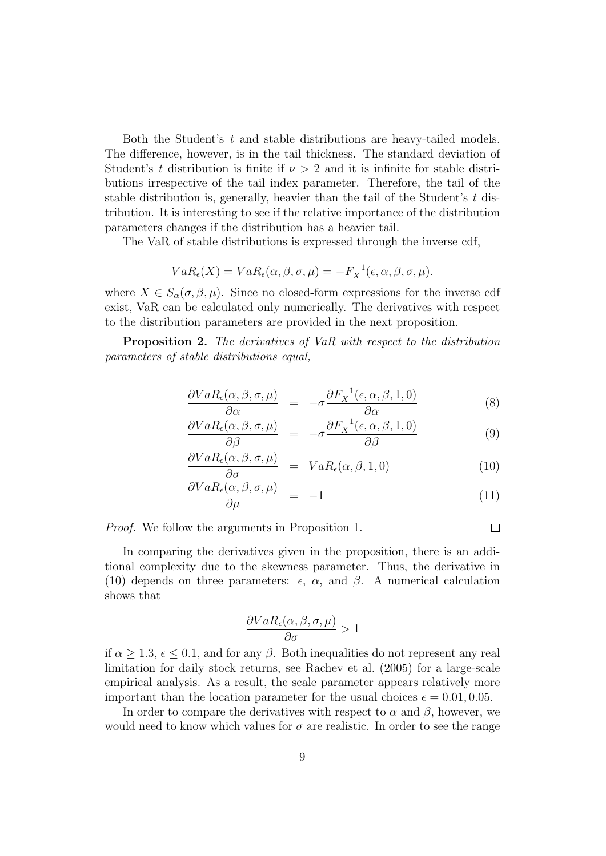Both the Student's t and stable distributions are heavy-tailed models. The difference, however, is in the tail thickness. The standard deviation of Student's t distribution is finite if  $\nu > 2$  and it is infinite for stable distributions irrespective of the tail index parameter. Therefore, the tail of the stable distribution is, generally, heavier than the tail of the Student's t distribution. It is interesting to see if the relative importance of the distribution parameters changes if the distribution has a heavier tail.

The VaR of stable distributions is expressed through the inverse cdf,

$$
VaR_{\epsilon}(X) = VaR_{\epsilon}(\alpha, \beta, \sigma, \mu) = -F_X^{-1}(\epsilon, \alpha, \beta, \sigma, \mu).
$$

where  $X \in S_\alpha(\sigma, \beta, \mu)$ . Since no closed-form expressions for the inverse cdf exist, VaR can be calculated only numerically. The derivatives with respect to the distribution parameters are provided in the next proposition.

Proposition 2. The derivatives of VaR with respect to the distribution parameters of stable distributions equal,

$$
\frac{\partial VaR_{\epsilon}(\alpha,\beta,\sigma,\mu)}{\partial\alpha} = -\sigma \frac{\partial F_X^{-1}(\epsilon,\alpha,\beta,1,0)}{\partial\alpha}
$$
(8)

$$
\frac{\partial VaR_{\epsilon}(\alpha,\beta,\sigma,\mu)}{\partial\beta} = -\sigma \frac{\partial F_X^{-1}(\epsilon,\alpha,\beta,1,0)}{\partial\beta} \tag{9}
$$

$$
\frac{\partial VaR_{\epsilon}(\alpha,\beta,\sigma,\mu)}{\partial\sigma} = VaR_{\epsilon}(\alpha,\beta,1,0) \tag{10}
$$

$$
\frac{\partial VaR_{\epsilon}(\alpha,\beta,\sigma,\mu)}{\partial\mu} = -1 \tag{11}
$$

Proof. We follow the arguments in Proposition 1.

 $\Box$ 

In comparing the derivatives given in the proposition, there is an additional complexity due to the skewness parameter. Thus, the derivative in (10) depends on three parameters:  $\epsilon$ ,  $\alpha$ , and  $\beta$ . A numerical calculation shows that

$$
\frac{\partial VaR_{\epsilon}(\alpha,\beta,\sigma,\mu)}{\partial\sigma}>1
$$

if  $\alpha > 1.3$ ,  $\epsilon \leq 0.1$ , and for any  $\beta$ . Both inequalities do not represent any real limitation for daily stock returns, see Rachev et al. (2005) for a large-scale empirical analysis. As a result, the scale parameter appears relatively more important than the location parameter for the usual choices  $\epsilon = 0.01, 0.05$ .

In order to compare the derivatives with respect to  $\alpha$  and  $\beta$ , however, we would need to know which values for  $\sigma$  are realistic. In order to see the range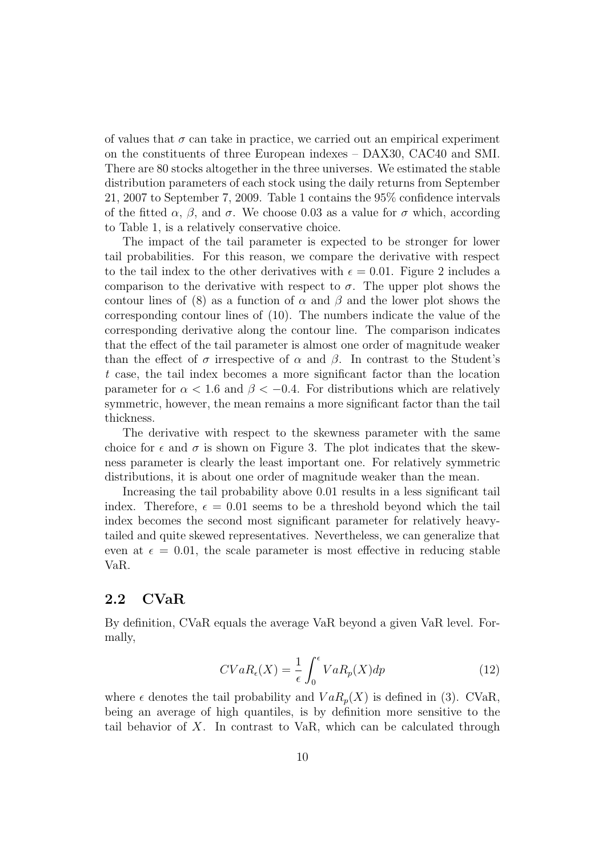of values that  $\sigma$  can take in practice, we carried out an empirical experiment on the constituents of three European indexes – DAX30, CAC40 and SMI. There are 80 stocks altogether in the three universes. We estimated the stable distribution parameters of each stock using the daily returns from September 21, 2007 to September 7, 2009. Table 1 contains the 95% confidence intervals of the fitted  $\alpha$ ,  $\beta$ , and  $\sigma$ . We choose 0.03 as a value for  $\sigma$  which, according to Table 1, is a relatively conservative choice.

The impact of the tail parameter is expected to be stronger for lower tail probabilities. For this reason, we compare the derivative with respect to the tail index to the other derivatives with  $\epsilon = 0.01$ . Figure 2 includes a comparison to the derivative with respect to  $\sigma$ . The upper plot shows the contour lines of (8) as a function of  $\alpha$  and  $\beta$  and the lower plot shows the corresponding contour lines of (10). The numbers indicate the value of the corresponding derivative along the contour line. The comparison indicates that the effect of the tail parameter is almost one order of magnitude weaker than the effect of  $\sigma$  irrespective of  $\alpha$  and  $\beta$ . In contrast to the Student's t case, the tail index becomes a more significant factor than the location parameter for  $\alpha < 1.6$  and  $\beta < -0.4$ . For distributions which are relatively symmetric, however, the mean remains a more significant factor than the tail thickness.

The derivative with respect to the skewness parameter with the same choice for  $\epsilon$  and  $\sigma$  is shown on Figure 3. The plot indicates that the skewness parameter is clearly the least important one. For relatively symmetric distributions, it is about one order of magnitude weaker than the mean.

Increasing the tail probability above 0.01 results in a less significant tail index. Therefore,  $\epsilon = 0.01$  seems to be a threshold beyond which the tail index becomes the second most significant parameter for relatively heavytailed and quite skewed representatives. Nevertheless, we can generalize that even at  $\epsilon = 0.01$ , the scale parameter is most effective in reducing stable VaR.

### 2.2 CVaR

By definition, CVaR equals the average VaR beyond a given VaR level. Formally,

$$
CVaR_{\epsilon}(X) = \frac{1}{\epsilon} \int_0^{\epsilon} VaR_p(X)dp \qquad (12)
$$

where  $\epsilon$  denotes the tail probability and  $VaR_n(X)$  is defined in (3). CVaR, being an average of high quantiles, is by definition more sensitive to the tail behavior of X. In contrast to VaR, which can be calculated through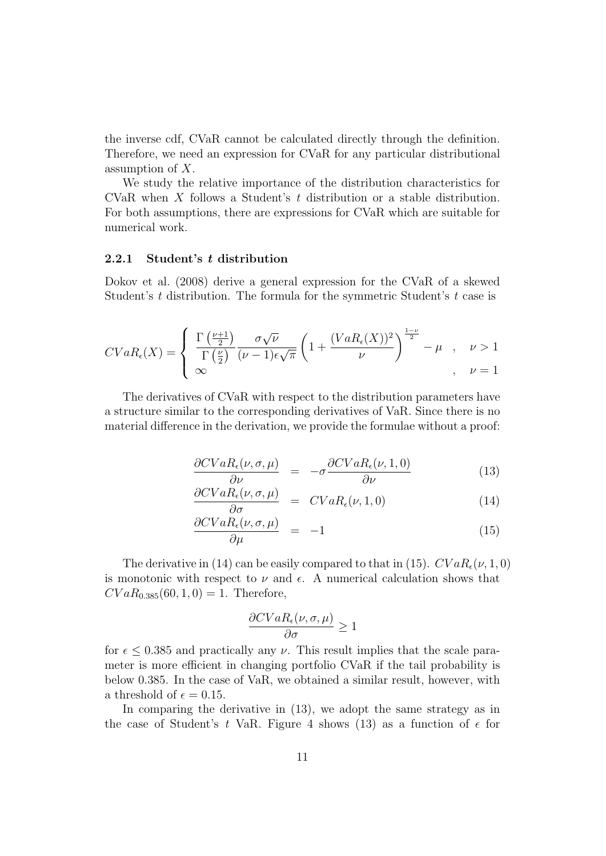the inverse cdf, CVaR cannot be calculated directly through the definition. Therefore, we need an expression for CVaR for any particular distributional assumption of X.

We study the relative importance of the distribution characteristics for CVaR when X follows a Student's t distribution or a stable distribution. For both assumptions, there are expressions for CVaR which are suitable for numerical work.

#### 2.2.1 Student's t distribution

Dokov et al. (2008) derive a general expression for the CVaR of a skewed Student's  $t$  distribution. The formula for the symmetric Student's  $t$  case is

$$
CVaR_{\epsilon}(X) = \begin{cases} \frac{\Gamma(\frac{\nu+1}{2})}{\Gamma(\frac{\nu}{2})} \frac{\sigma\sqrt{\nu}}{(\nu-1)\epsilon\sqrt{\pi}} \left(1 + \frac{(VaR_{\epsilon}(X))^2}{\nu}\right)^{\frac{1-\nu}{2}} - \mu, & \nu > 1\\ \infty, & \nu = 1 \end{cases}
$$

The derivatives of CVaR with respect to the distribution parameters have a structure similar to the corresponding derivatives of VaR. Since there is no material difference in the derivation, we provide the formulae without a proof:

$$
\frac{\partial CVaR_{\epsilon}(\nu,\sigma,\mu)}{\partial \nu} = -\sigma \frac{\partial CVaR_{\epsilon}(\nu,1,0)}{\partial \nu}
$$
(13)

$$
\frac{\partial CVaR_{\epsilon}(\nu,\sigma,\mu)}{\partial \sigma} = CVaR_{\epsilon}(\nu,1,0) \tag{14}
$$

$$
\frac{\partial CVaR_{\epsilon}(\nu,\sigma,\mu)}{\partial \mu} = -1 \tag{15}
$$

The derivative in (14) can be easily compared to that in (15).  $CVaR_{\epsilon}(\nu, 1, 0)$ is monotonic with respect to  $\nu$  and  $\epsilon$ . A numerical calculation shows that  $CVaR_{0.385}(60, 1, 0) = 1$ . Therefore,

$$
\frac{\partial CVaR_{\epsilon}(\nu,\sigma,\mu)}{\partial \sigma} \ge 1
$$

for  $\epsilon \leq 0.385$  and practically any  $\nu$ . This result implies that the scale parameter is more efficient in changing portfolio CVaR if the tail probability is below 0.385. In the case of VaR, we obtained a similar result, however, with a threshold of  $\epsilon = 0.15$ .

In comparing the derivative in  $(13)$ , we adopt the same strategy as in the case of Student's t VaR. Figure 4 shows (13) as a function of  $\epsilon$  for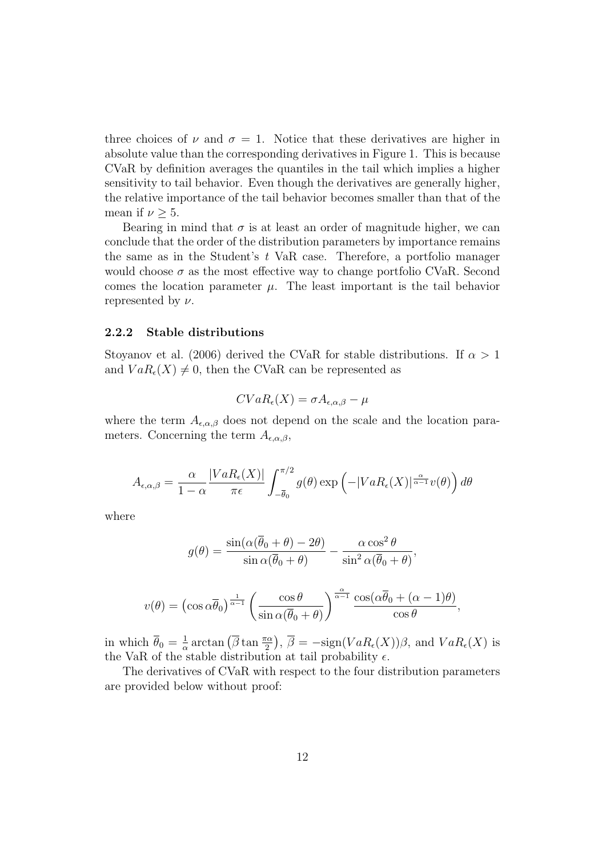three choices of  $\nu$  and  $\sigma = 1$ . Notice that these derivatives are higher in absolute value than the corresponding derivatives in Figure 1. This is because CVaR by definition averages the quantiles in the tail which implies a higher sensitivity to tail behavior. Even though the derivatives are generally higher, the relative importance of the tail behavior becomes smaller than that of the mean if  $\nu \geq 5$ .

Bearing in mind that  $\sigma$  is at least an order of magnitude higher, we can conclude that the order of the distribution parameters by importance remains the same as in the Student's t VaR case. Therefore, a portfolio manager would choose  $\sigma$  as the most effective way to change portfolio CVaR. Second comes the location parameter  $\mu$ . The least important is the tail behavior represented by  $\nu$ .

#### 2.2.2 Stable distributions

Stoyanov et al. (2006) derived the CVaR for stable distributions. If  $\alpha > 1$ and  $VaR_{\epsilon}(X) \neq 0$ , then the CVaR can be represented as

$$
CVaR_{\epsilon}(X) = \sigma A_{\epsilon,\alpha,\beta} - \mu
$$

where the term  $A_{\epsilon,\alpha,\beta}$  does not depend on the scale and the location parameters. Concerning the term  $A_{\epsilon,\alpha,\beta}$ ,

$$
A_{\epsilon,\alpha,\beta} = \frac{\alpha}{1-\alpha} \frac{|VaR_{\epsilon}(X)|}{\pi\epsilon} \int_{-\overline{\theta}_0}^{\pi/2} g(\theta) \exp\left(-|VaR_{\epsilon}(X)|^{\frac{\alpha}{\alpha-1}} v(\theta)\right) d\theta
$$

where

$$
g(\theta) = \frac{\sin(\alpha(\overline{\theta}_0 + \theta) - 2\theta)}{\sin \alpha(\overline{\theta}_0 + \theta)} - \frac{\alpha \cos^2 \theta}{\sin^2 \alpha(\overline{\theta}_0 + \theta)},
$$

$$
v(\theta) = (\cos \alpha \overline{\theta}_0)^{\frac{1}{\alpha - 1}} \left( \frac{\cos \theta}{\sin \alpha (\overline{\theta}_0 + \theta)} \right)^{\frac{\alpha}{\alpha - 1}} \frac{\cos(\alpha \overline{\theta}_0 + (\alpha - 1)\theta)}{\cos \theta},
$$

in which  $\overline{\theta}_0 = \frac{1}{\alpha}$  $\frac{1}{\alpha} \arctan \left( \overline{\beta} \tan \frac{\pi \alpha}{2} \right), \overline{\beta} = -\text{sign}(VaR_{\epsilon}(X))\beta, \text{ and } VaR_{\epsilon}(X)$  is the VaR of the stable distribution at tail probability  $\epsilon$ .

The derivatives of CVaR with respect to the four distribution parameters are provided below without proof: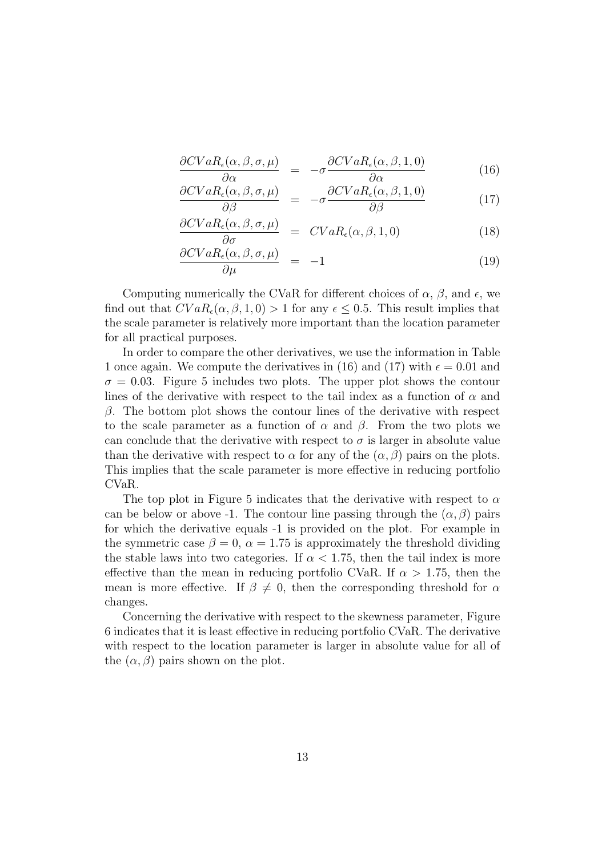$$
\frac{\partial CVaR_{\epsilon}(\alpha,\beta,\sigma,\mu)}{\partial \alpha} = -\sigma \frac{\partial CVaR_{\epsilon}(\alpha,\beta,1,0)}{\partial \alpha}
$$
(16)

$$
\frac{\partial CVaR_{\epsilon}(\alpha,\beta,\sigma,\mu)}{\partial\beta} = -\sigma \frac{\partial CVaR_{\epsilon}(\alpha,\beta,1,0)}{\partial\beta} \tag{17}
$$

$$
\frac{\partial CVaR_{\epsilon}(\alpha,\beta,\sigma,\mu)}{\partial \sigma} = CVaR_{\epsilon}(\alpha,\beta,1,0) \tag{18}
$$

$$
\frac{\partial CVaR_{\epsilon}(\alpha,\beta,\sigma,\mu)}{\partial \mu} = -1 \tag{19}
$$

Computing numerically the CVaR for different choices of  $\alpha$ ,  $\beta$ , and  $\epsilon$ , we find out that  $CVaR_{\epsilon}(\alpha, \beta, 1, 0) > 1$  for any  $\epsilon \leq 0.5$ . This result implies that the scale parameter is relatively more important than the location parameter for all practical purposes.

In order to compare the other derivatives, we use the information in Table 1 once again. We compute the derivatives in (16) and (17) with  $\epsilon = 0.01$  and  $\sigma = 0.03$ . Figure 5 includes two plots. The upper plot shows the contour lines of the derivative with respect to the tail index as a function of  $\alpha$  and  $β$ . The bottom plot shows the contour lines of the derivative with respect to the scale parameter as a function of  $\alpha$  and  $\beta$ . From the two plots we can conclude that the derivative with respect to  $\sigma$  is larger in absolute value than the derivative with respect to  $\alpha$  for any of the  $(\alpha, \beta)$  pairs on the plots. This implies that the scale parameter is more effective in reducing portfolio CVaR.

The top plot in Figure 5 indicates that the derivative with respect to  $\alpha$ can be below or above -1. The contour line passing through the  $(\alpha, \beta)$  pairs for which the derivative equals -1 is provided on the plot. For example in the symmetric case  $\beta = 0$ ,  $\alpha = 1.75$  is approximately the threshold dividing the stable laws into two categories. If  $\alpha < 1.75$ , then the tail index is more effective than the mean in reducing portfolio CVaR. If  $\alpha > 1.75$ , then the mean is more effective. If  $\beta \neq 0$ , then the corresponding threshold for  $\alpha$ changes.

Concerning the derivative with respect to the skewness parameter, Figure 6 indicates that it is least effective in reducing portfolio CVaR. The derivative with respect to the location parameter is larger in absolute value for all of the  $(\alpha, \beta)$  pairs shown on the plot.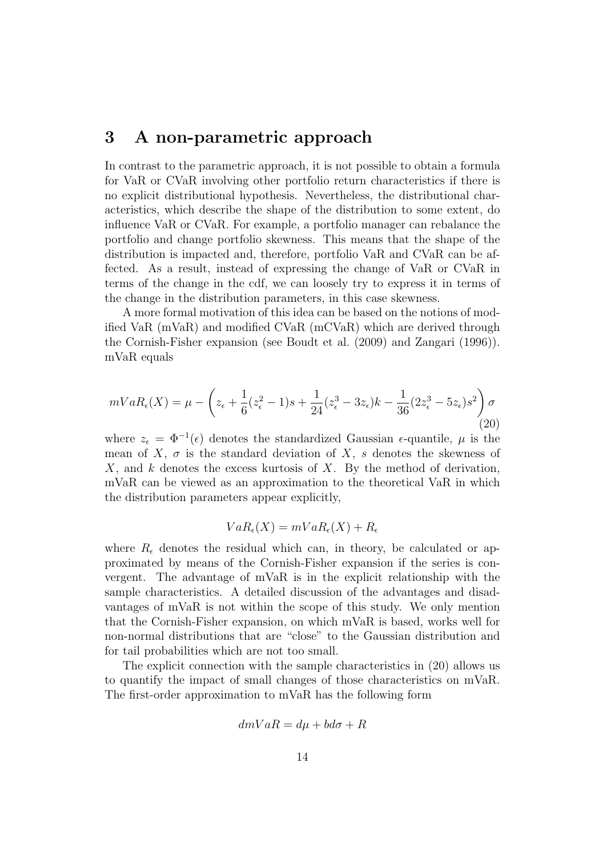# 3 A non-parametric approach

In contrast to the parametric approach, it is not possible to obtain a formula for VaR or CVaR involving other portfolio return characteristics if there is no explicit distributional hypothesis. Nevertheless, the distributional characteristics, which describe the shape of the distribution to some extent, do influence VaR or CVaR. For example, a portfolio manager can rebalance the portfolio and change portfolio skewness. This means that the shape of the distribution is impacted and, therefore, portfolio VaR and CVaR can be affected. As a result, instead of expressing the change of VaR or CVaR in terms of the change in the cdf, we can loosely try to express it in terms of the change in the distribution parameters, in this case skewness.

A more formal motivation of this idea can be based on the notions of modified VaR (mVaR) and modified CVaR (mCVaR) which are derived through the Cornish-Fisher expansion (see Boudt et al. (2009) and Zangari (1996)). mVaR equals

$$
mVaR_{\epsilon}(X) = \mu - \left(z_{\epsilon} + \frac{1}{6}(z_{\epsilon}^2 - 1)s + \frac{1}{24}(z_{\epsilon}^3 - 3z_{\epsilon})k - \frac{1}{36}(2z_{\epsilon}^3 - 5z_{\epsilon})s^2\right)\sigma\tag{20}
$$

where  $z_{\epsilon} = \Phi^{-1}(\epsilon)$  denotes the standardized Gaussian  $\epsilon$ -quantile,  $\mu$  is the mean of X,  $\sigma$  is the standard deviation of X, s denotes the skewness of  $X$ , and  $k$  denotes the excess kurtosis of  $X$ . By the method of derivation, mVaR can be viewed as an approximation to the theoretical VaR in which the distribution parameters appear explicitly,

$$
VaR_{\epsilon}(X) = mVaR_{\epsilon}(X) + R_{\epsilon}
$$

where  $R_{\epsilon}$  denotes the residual which can, in theory, be calculated or approximated by means of the Cornish-Fisher expansion if the series is convergent. The advantage of mVaR is in the explicit relationship with the sample characteristics. A detailed discussion of the advantages and disadvantages of mVaR is not within the scope of this study. We only mention that the Cornish-Fisher expansion, on which mVaR is based, works well for non-normal distributions that are "close" to the Gaussian distribution and for tail probabilities which are not too small.

The explicit connection with the sample characteristics in (20) allows us to quantify the impact of small changes of those characteristics on mVaR. The first-order approximation to mVaR has the following form

$$
dmVaR = d\mu + bd\sigma + R
$$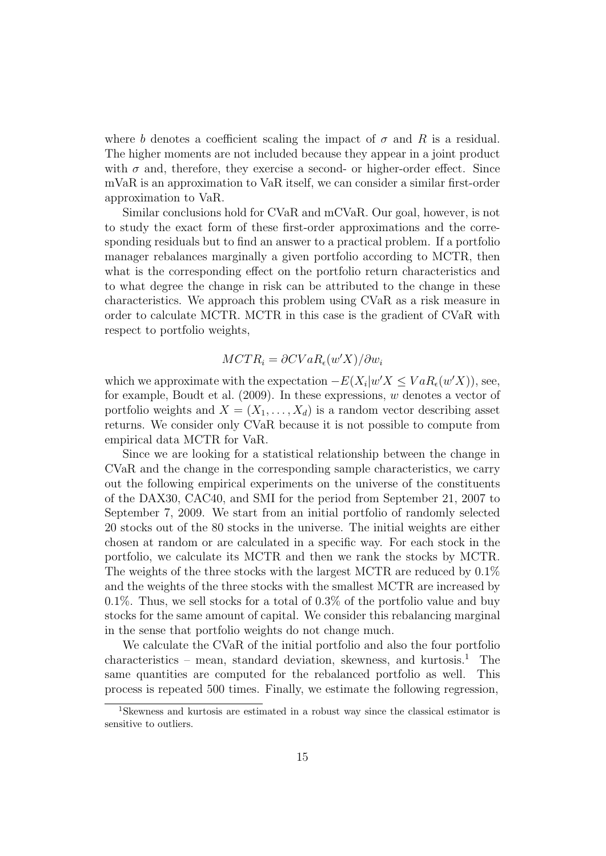where b denotes a coefficient scaling the impact of  $\sigma$  and R is a residual. The higher moments are not included because they appear in a joint product with  $\sigma$  and, therefore, they exercise a second- or higher-order effect. Since mVaR is an approximation to VaR itself, we can consider a similar first-order approximation to VaR.

Similar conclusions hold for CVaR and mCVaR. Our goal, however, is not to study the exact form of these first-order approximations and the corresponding residuals but to find an answer to a practical problem. If a portfolio manager rebalances marginally a given portfolio according to MCTR, then what is the corresponding effect on the portfolio return characteristics and to what degree the change in risk can be attributed to the change in these characteristics. We approach this problem using CVaR as a risk measure in order to calculate MCTR. MCTR in this case is the gradient of CVaR with respect to portfolio weights,

## $MCTR_i = \partial CVaR_{\epsilon}(w'X)/\partial w_i$

which we approximate with the expectation  $-E(X_i|w'X \leq VaR_{\epsilon}(w'X))$ , see, for example, Boudt et al. (2009). In these expressions, w denotes a vector of portfolio weights and  $X = (X_1, \ldots, X_d)$  is a random vector describing asset returns. We consider only CVaR because it is not possible to compute from empirical data MCTR for VaR.

Since we are looking for a statistical relationship between the change in CVaR and the change in the corresponding sample characteristics, we carry out the following empirical experiments on the universe of the constituents of the DAX30, CAC40, and SMI for the period from September 21, 2007 to September 7, 2009. We start from an initial portfolio of randomly selected 20 stocks out of the 80 stocks in the universe. The initial weights are either chosen at random or are calculated in a specific way. For each stock in the portfolio, we calculate its MCTR and then we rank the stocks by MCTR. The weights of the three stocks with the largest MCTR are reduced by 0.1% and the weights of the three stocks with the smallest MCTR are increased by 0.1%. Thus, we sell stocks for a total of 0.3% of the portfolio value and buy stocks for the same amount of capital. We consider this rebalancing marginal in the sense that portfolio weights do not change much.

We calculate the CVaR of the initial portfolio and also the four portfolio characteristics – mean, standard deviation, skewness, and kurtosis.<sup>1</sup> The same quantities are computed for the rebalanced portfolio as well. This process is repeated 500 times. Finally, we estimate the following regression,

<sup>1</sup>Skewness and kurtosis are estimated in a robust way since the classical estimator is sensitive to outliers.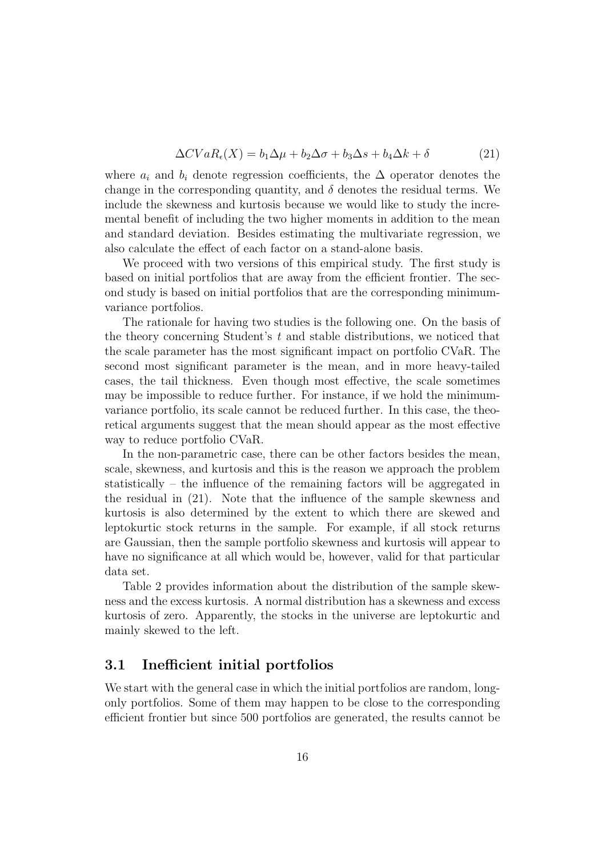$$
\Delta CVaR_{\epsilon}(X) = b_1 \Delta \mu + b_2 \Delta \sigma + b_3 \Delta s + b_4 \Delta k + \delta \tag{21}
$$

where  $a_i$  and  $b_i$  denote regression coefficients, the  $\Delta$  operator denotes the change in the corresponding quantity, and  $\delta$  denotes the residual terms. We include the skewness and kurtosis because we would like to study the incremental benefit of including the two higher moments in addition to the mean and standard deviation. Besides estimating the multivariate regression, we also calculate the effect of each factor on a stand-alone basis.

We proceed with two versions of this empirical study. The first study is based on initial portfolios that are away from the efficient frontier. The second study is based on initial portfolios that are the corresponding minimumvariance portfolios.

The rationale for having two studies is the following one. On the basis of the theory concerning Student's t and stable distributions, we noticed that the scale parameter has the most significant impact on portfolio CVaR. The second most significant parameter is the mean, and in more heavy-tailed cases, the tail thickness. Even though most effective, the scale sometimes may be impossible to reduce further. For instance, if we hold the minimumvariance portfolio, its scale cannot be reduced further. In this case, the theoretical arguments suggest that the mean should appear as the most effective way to reduce portfolio CVaR.

In the non-parametric case, there can be other factors besides the mean, scale, skewness, and kurtosis and this is the reason we approach the problem statistically – the influence of the remaining factors will be aggregated in the residual in (21). Note that the influence of the sample skewness and kurtosis is also determined by the extent to which there are skewed and leptokurtic stock returns in the sample. For example, if all stock returns are Gaussian, then the sample portfolio skewness and kurtosis will appear to have no significance at all which would be, however, valid for that particular data set.

Table 2 provides information about the distribution of the sample skewness and the excess kurtosis. A normal distribution has a skewness and excess kurtosis of zero. Apparently, the stocks in the universe are leptokurtic and mainly skewed to the left.

### 3.1 Inefficient initial portfolios

We start with the general case in which the initial portfolios are random, longonly portfolios. Some of them may happen to be close to the corresponding efficient frontier but since 500 portfolios are generated, the results cannot be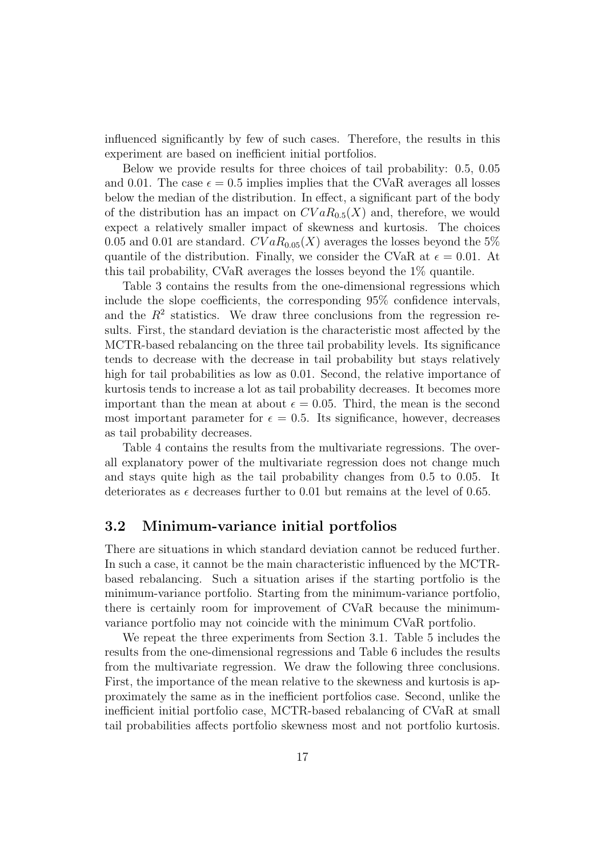influenced significantly by few of such cases. Therefore, the results in this experiment are based on inefficient initial portfolios.

Below we provide results for three choices of tail probability: 0.5, 0.05 and 0.01. The case  $\epsilon = 0.5$  implies implies that the CVaR averages all losses below the median of the distribution. In effect, a significant part of the body of the distribution has an impact on  $CVaR_{0.5}(X)$  and, therefore, we would expect a relatively smaller impact of skewness and kurtosis. The choices 0.05 and 0.01 are standard.  $CVaR_{0.05}(X)$  averages the losses beyond the 5% quantile of the distribution. Finally, we consider the CVaR at  $\epsilon = 0.01$ . At this tail probability, CVaR averages the losses beyond the 1% quantile.

Table 3 contains the results from the one-dimensional regressions which include the slope coefficients, the corresponding 95% confidence intervals, and the  $R^2$  statistics. We draw three conclusions from the regression results. First, the standard deviation is the characteristic most affected by the MCTR-based rebalancing on the three tail probability levels. Its significance tends to decrease with the decrease in tail probability but stays relatively high for tail probabilities as low as 0.01. Second, the relative importance of kurtosis tends to increase a lot as tail probability decreases. It becomes more important than the mean at about  $\epsilon = 0.05$ . Third, the mean is the second most important parameter for  $\epsilon = 0.5$ . Its significance, however, decreases as tail probability decreases.

Table 4 contains the results from the multivariate regressions. The overall explanatory power of the multivariate regression does not change much and stays quite high as the tail probability changes from 0.5 to 0.05. It deteriorates as  $\epsilon$  decreases further to 0.01 but remains at the level of 0.65.

### 3.2 Minimum-variance initial portfolios

There are situations in which standard deviation cannot be reduced further. In such a case, it cannot be the main characteristic influenced by the MCTRbased rebalancing. Such a situation arises if the starting portfolio is the minimum-variance portfolio. Starting from the minimum-variance portfolio, there is certainly room for improvement of CVaR because the minimumvariance portfolio may not coincide with the minimum CVaR portfolio.

We repeat the three experiments from Section 3.1. Table 5 includes the results from the one-dimensional regressions and Table 6 includes the results from the multivariate regression. We draw the following three conclusions. First, the importance of the mean relative to the skewness and kurtosis is approximately the same as in the inefficient portfolios case. Second, unlike the inefficient initial portfolio case, MCTR-based rebalancing of CVaR at small tail probabilities affects portfolio skewness most and not portfolio kurtosis.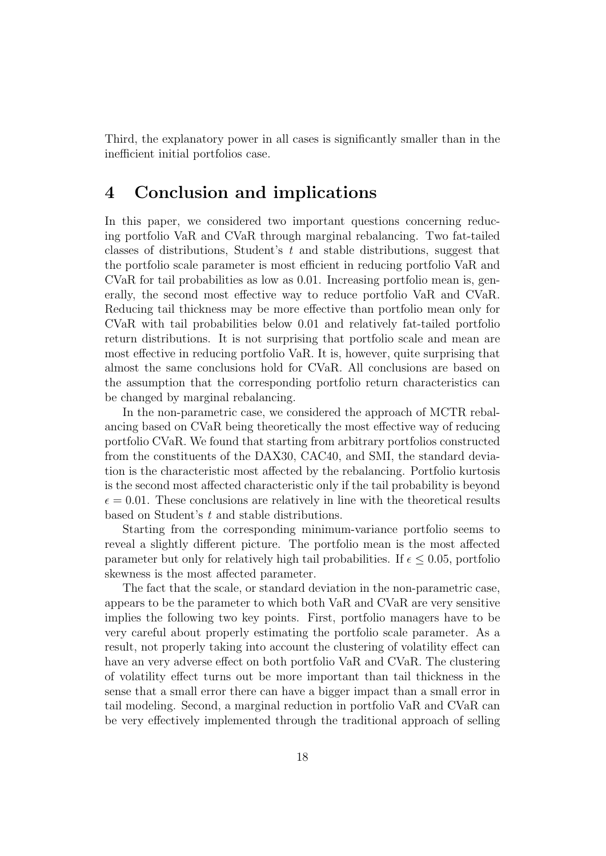Third, the explanatory power in all cases is significantly smaller than in the inefficient initial portfolios case.

# 4 Conclusion and implications

In this paper, we considered two important questions concerning reducing portfolio VaR and CVaR through marginal rebalancing. Two fat-tailed classes of distributions, Student's  $t$  and stable distributions, suggest that the portfolio scale parameter is most efficient in reducing portfolio VaR and CVaR for tail probabilities as low as 0.01. Increasing portfolio mean is, generally, the second most effective way to reduce portfolio VaR and CVaR. Reducing tail thickness may be more effective than portfolio mean only for CVaR with tail probabilities below 0.01 and relatively fat-tailed portfolio return distributions. It is not surprising that portfolio scale and mean are most effective in reducing portfolio VaR. It is, however, quite surprising that almost the same conclusions hold for CVaR. All conclusions are based on the assumption that the corresponding portfolio return characteristics can be changed by marginal rebalancing.

In the non-parametric case, we considered the approach of MCTR rebalancing based on CVaR being theoretically the most effective way of reducing portfolio CVaR. We found that starting from arbitrary portfolios constructed from the constituents of the DAX30, CAC40, and SMI, the standard deviation is the characteristic most affected by the rebalancing. Portfolio kurtosis is the second most affected characteristic only if the tail probability is beyond  $\epsilon = 0.01$ . These conclusions are relatively in line with the theoretical results based on Student's t and stable distributions.

Starting from the corresponding minimum-variance portfolio seems to reveal a slightly different picture. The portfolio mean is the most affected parameter but only for relatively high tail probabilities. If  $\epsilon \leq 0.05$ , portfolio skewness is the most affected parameter.

The fact that the scale, or standard deviation in the non-parametric case, appears to be the parameter to which both VaR and CVaR are very sensitive implies the following two key points. First, portfolio managers have to be very careful about properly estimating the portfolio scale parameter. As a result, not properly taking into account the clustering of volatility effect can have an very adverse effect on both portfolio VaR and CVaR. The clustering of volatility effect turns out be more important than tail thickness in the sense that a small error there can have a bigger impact than a small error in tail modeling. Second, a marginal reduction in portfolio VaR and CVaR can be very effectively implemented through the traditional approach of selling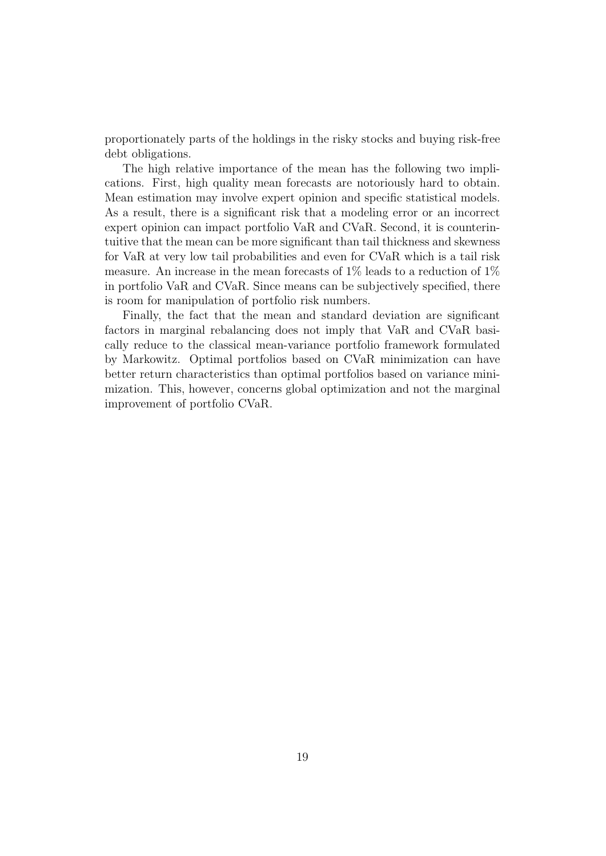proportionately parts of the holdings in the risky stocks and buying risk-free debt obligations.

The high relative importance of the mean has the following two implications. First, high quality mean forecasts are notoriously hard to obtain. Mean estimation may involve expert opinion and specific statistical models. As a result, there is a significant risk that a modeling error or an incorrect expert opinion can impact portfolio VaR and CVaR. Second, it is counterintuitive that the mean can be more significant than tail thickness and skewness for VaR at very low tail probabilities and even for CVaR which is a tail risk measure. An increase in the mean forecasts of  $1\%$  leads to a reduction of  $1\%$ in portfolio VaR and CVaR. Since means can be subjectively specified, there is room for manipulation of portfolio risk numbers.

Finally, the fact that the mean and standard deviation are significant factors in marginal rebalancing does not imply that VaR and CVaR basically reduce to the classical mean-variance portfolio framework formulated by Markowitz. Optimal portfolios based on CVaR minimization can have better return characteristics than optimal portfolios based on variance minimization. This, however, concerns global optimization and not the marginal improvement of portfolio CVaR.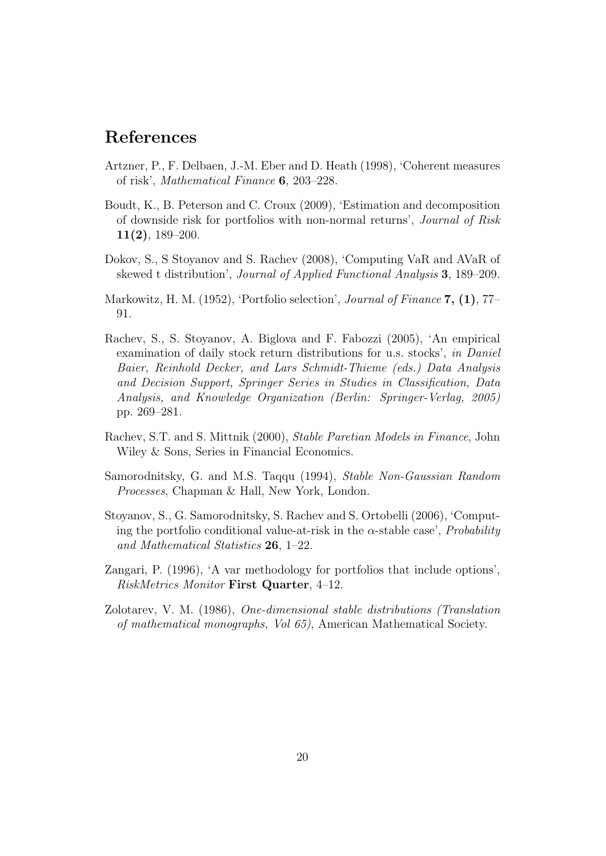# References

- Artzner, P., F. Delbaen, J.-M. Eber and D. Heath (1998), 'Coherent measures of risk', Mathematical Finance 6, 203–228.
- Boudt, K., B. Peterson and C. Croux (2009), 'Estimation and decomposition of downside risk for portfolios with non-normal returns', Journal of Risk 11(2), 189–200.
- Dokov, S., S Stoyanov and S. Rachev (2008), 'Computing VaR and AVaR of skewed t distribution', Journal of Applied Functional Analysis 3, 189–209.
- Markowitz, H. M. (1952), 'Portfolio selection', *Journal of Finance* **7**, (1), 77– 91.
- Rachev, S., S. Stoyanov, A. Biglova and F. Fabozzi (2005), 'An empirical examination of daily stock return distributions for u.s. stocks', in Daniel Baier, Reinhold Decker, and Lars Schmidt-Thieme (eds.) Data Analysis and Decision Support, Springer Series in Studies in Classification, Data Analysis, and Knowledge Organization (Berlin: Springer-Verlag, 2005) pp. 269–281.
- Rachev, S.T. and S. Mittnik (2000), Stable Paretian Models in Finance, John Wiley & Sons, Series in Financial Economics.
- Samorodnitsky, G. and M.S. Taqqu (1994), Stable Non-Gaussian Random Processes, Chapman & Hall, New York, London.
- Stoyanov, S., G. Samorodnitsky, S. Rachev and S. Ortobelli (2006), 'Computing the portfolio conditional value-at-risk in the  $\alpha$ -stable case', *Probability* and Mathematical Statistics 26, 1–22.
- Zangari, P. (1996), 'A var methodology for portfolios that include options', RiskMetrics Monitor First Quarter, 4–12.
- Zolotarev, V. M. (1986), One-dimensional stable distributions (Translation of mathematical monographs, Vol 65), American Mathematical Society.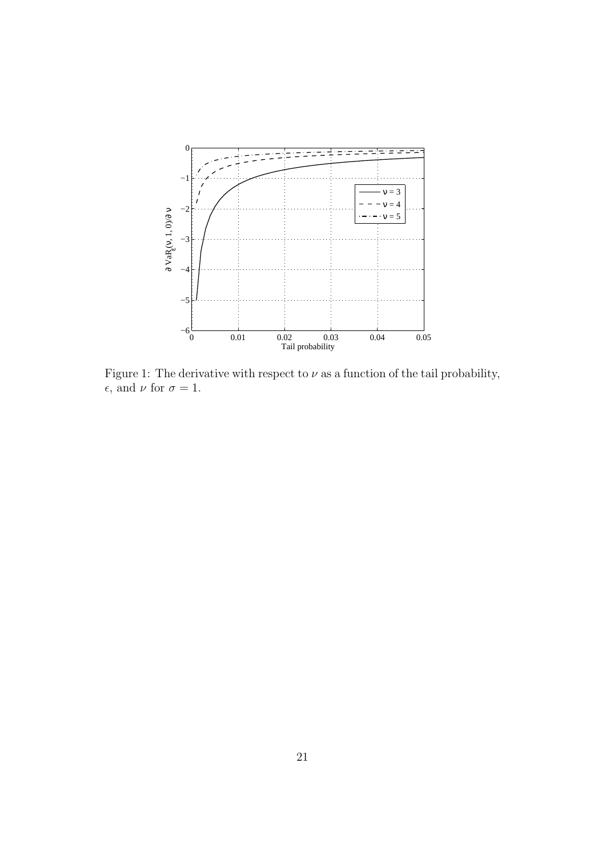

Figure 1: The derivative with respect to  $\nu$  as a function of the tail probability,  $\epsilon$ , and  $\nu$  for  $\sigma = 1$ .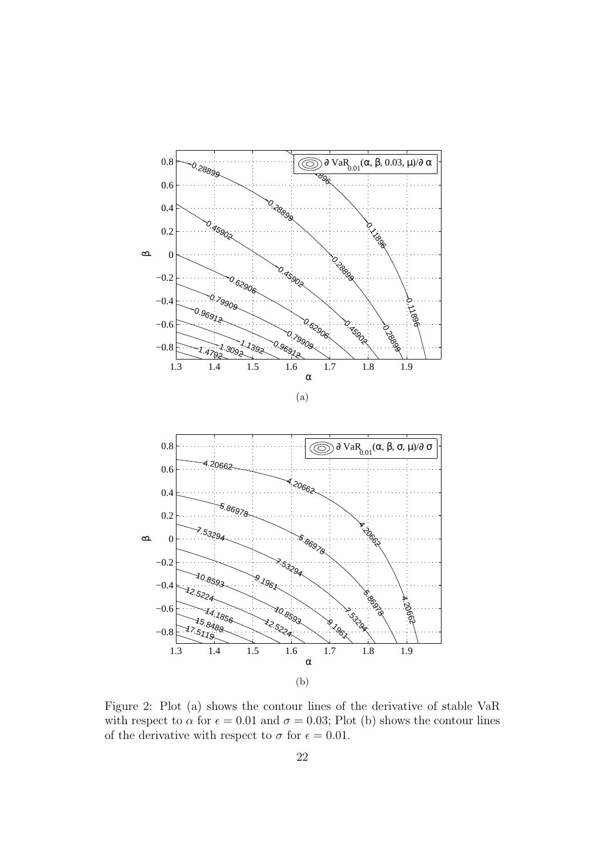

Figure 2: Plot (a) shows the contour lines of the derivative of stable VaR with respect to  $\alpha$  for  $\epsilon = 0.01$  and  $\sigma = 0.03$ ; Plot (b) shows the contour lines of the derivative with respect to  $\sigma$  for  $\epsilon = 0.01$ .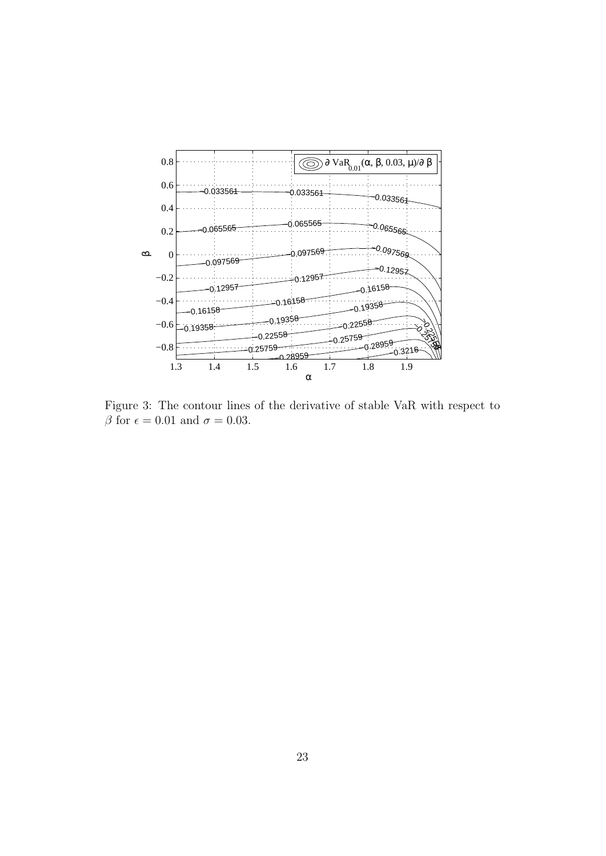

Figure 3: The contour lines of the derivative of stable VaR with respect to  $\beta$  for  $\epsilon = 0.01$  and  $\sigma = 0.03$ .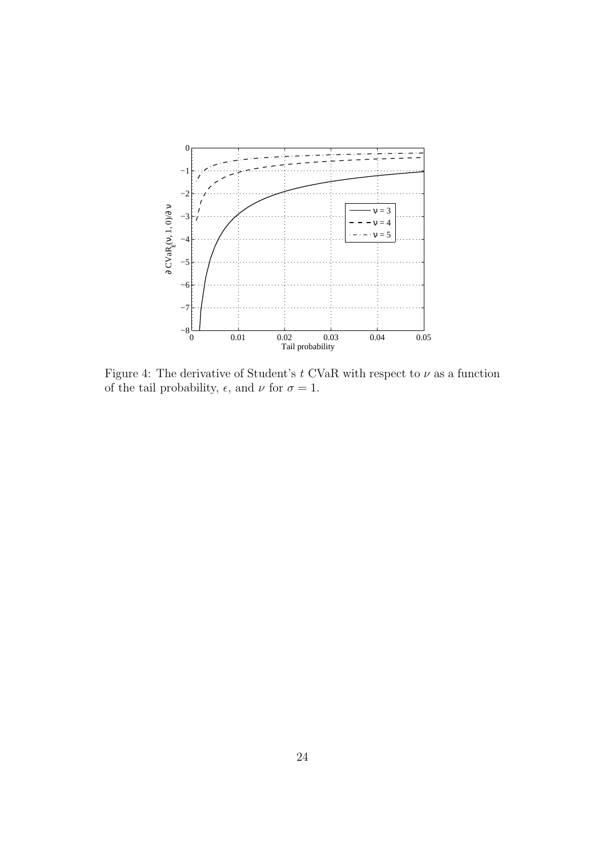

Figure 4: The derivative of Student's  $t$  CVaR with respect to  $\nu$  as a function of the tail probability,  $\epsilon$ , and  $\nu$  for  $\sigma = 1$ .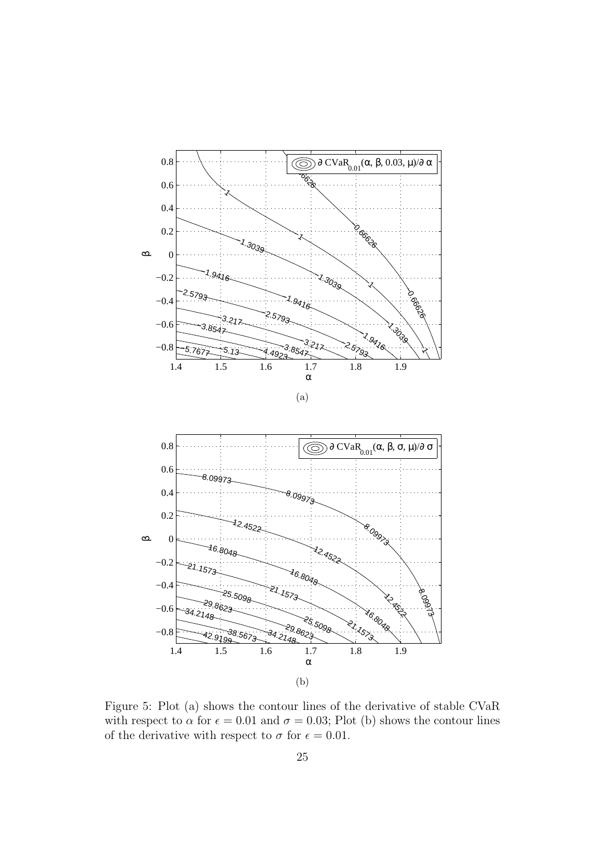

Figure 5: Plot (a) shows the contour lines of the derivative of stable CVaR with respect to  $\alpha$  for  $\epsilon = 0.01$  and  $\sigma = 0.03$ ; Plot (b) shows the contour lines of the derivative with respect to  $\sigma$  for  $\epsilon = 0.01$ .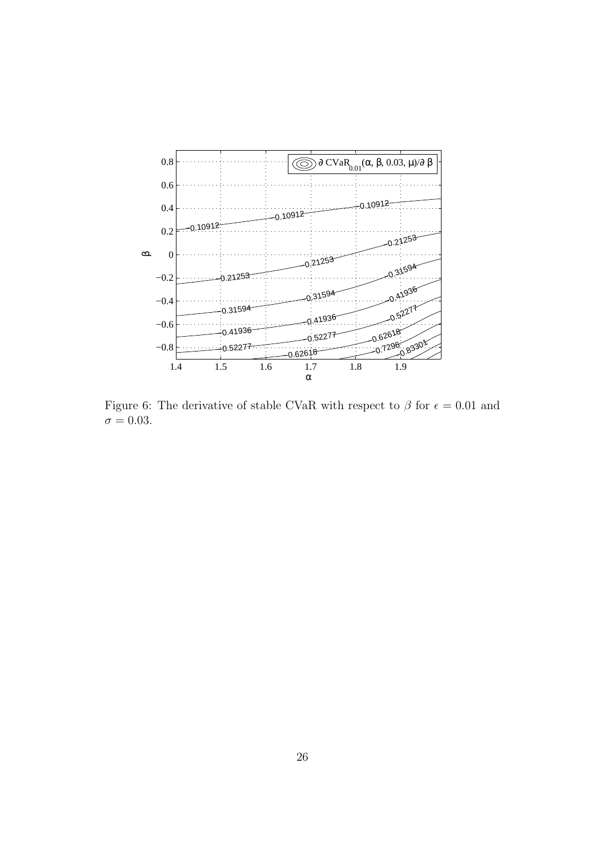

Figure 6: The derivative of stable CVaR with respect to  $\beta$  for  $\epsilon = 0.01$  and  $\sigma = 0.03$ .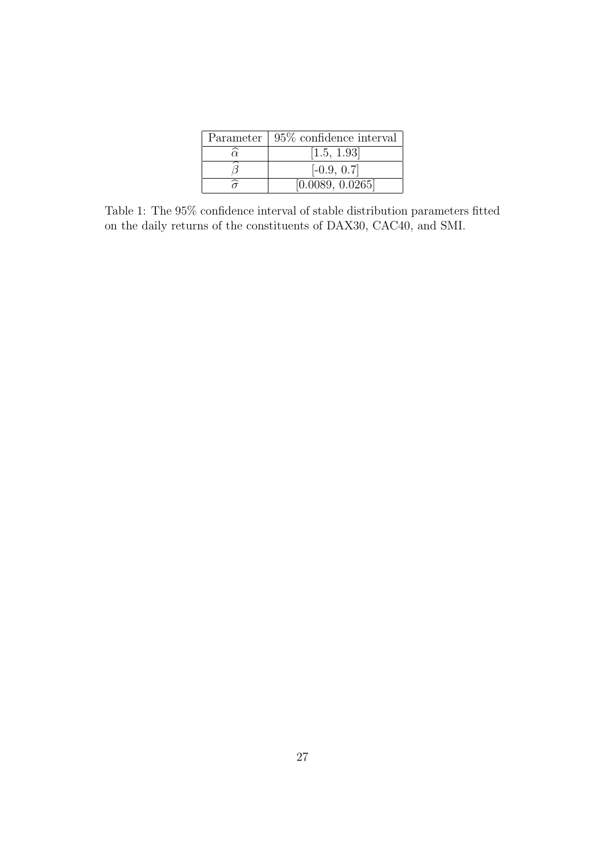|   | Parameter   95\% confidence interval |
|---|--------------------------------------|
|   | [1.5, 1.93]                          |
|   | $[-0.9, 0.7]$                        |
| ᄉ | [0.0089, 0.0265]                     |
|   |                                      |

Table 1: The 95% confidence interval of stable distribution parameters fitted on the daily returns of the constituents of DAX30, CAC40, and SMI.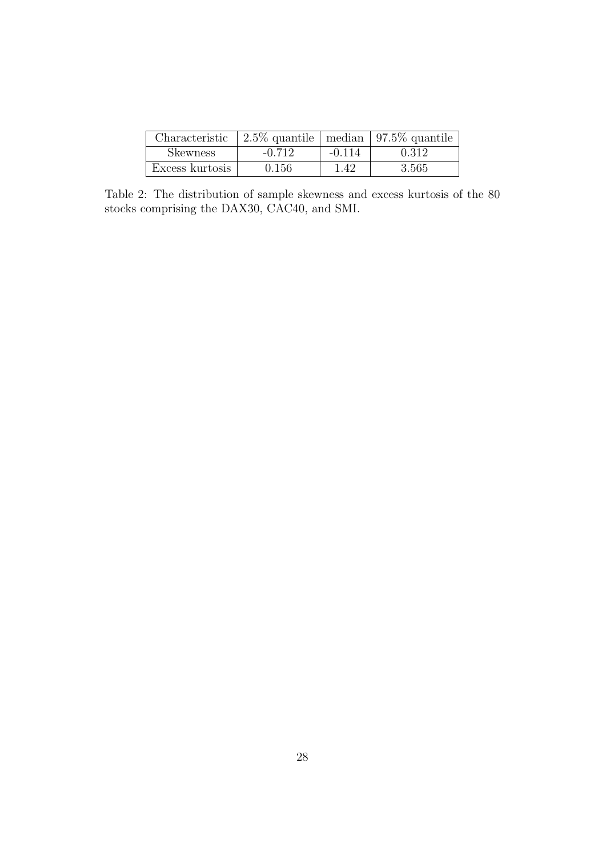| Characteristic  |          |          | $\vert$ 2.5% quantile   median   97.5% quantile |
|-----------------|----------|----------|-------------------------------------------------|
| <b>Skewness</b> | $-0.712$ | $-0.114$ | 0.312                                           |
| Excess kurtosis | 0.156    | 1.42     | 3.565                                           |

Table 2: The distribution of sample skewness and excess kurtosis of the 80 stocks comprising the DAX30, CAC40, and SMI.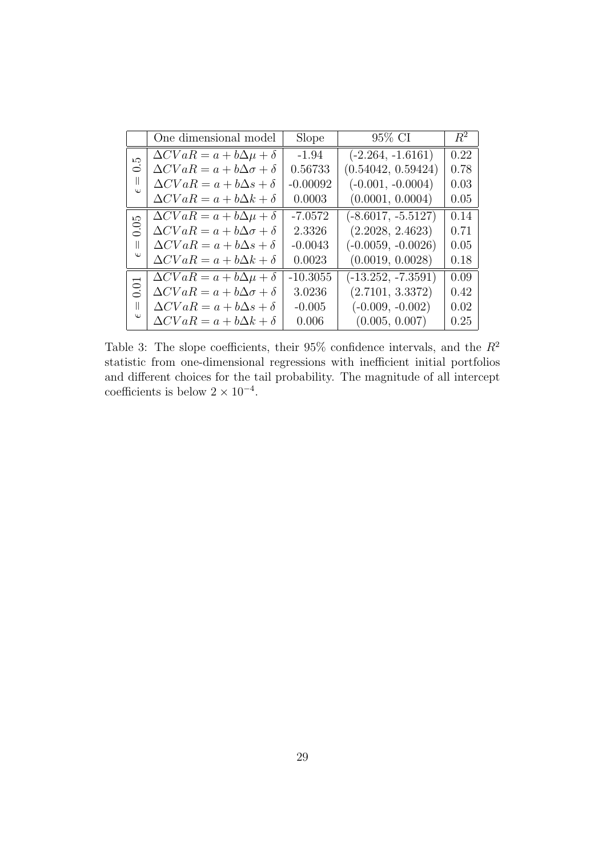|                        | One dimensional model                      | Slope      | 95% CI               | $R^2$ |
|------------------------|--------------------------------------------|------------|----------------------|-------|
| ນລ                     | $\Delta CVaR = a + b\Delta\mu + \delta$    | $-1.94$    | $(-2.264, -1.6161)$  | 0.22  |
| $\circ$                | $\Delta CVaR = a + b\Delta\sigma + \delta$ | 0.56733    | (0.54042, 0.59424)   | 0.78  |
| $\mathbb{I}$<br>$\cup$ | $\Delta CVaR = a + b\Delta s + \delta$     | $-0.00092$ | $(-0.001, -0.0004)$  | 0.03  |
|                        | $\Delta CVaR = a + b\Delta k + \delta$     | 0.0003     | (0.0001, 0.0004)     | 0.05  |
| ΓÒ.                    | $\Delta CVaR = a + b\Delta\mu + \delta$    | $-7.0572$  | $(-8.6017, -5.5127)$ | 0.14  |
|                        | $\Delta CVaR = a + b\Delta\sigma + \delta$ | 2.3326     | (2.2028, 2.4623)     | 0.71  |
| $\mathbb{I}$           | $\Delta CVaR = a + b\Delta s + \delta$     | $-0.0043$  | $(-0.0059, -0.0026)$ | 0.05  |
| $\cup$                 | $\Delta CVaR = a + b\Delta k + \delta$     | 0.0023     | (0.0019, 0.0028)     | 0.18  |
|                        | $\Delta CVaR = a + b\Delta\mu + \delta$    | $-10.3055$ | $(-13.252, -7.3591)$ | 0.09  |
| 0.01                   | $\Delta CVaR = a + b\Delta\sigma + \delta$ | 3.0236     | (2.7101, 3.3372)     | 0.42  |
| $\mathbb{I}$           | $\Delta CVaR = a + b\Delta s + \delta$     | $-0.005$   | $(-0.009, -0.002)$   | 0.02  |
| $\cup$                 | $\Delta CVaR = a + b\Delta k + \delta$     | 0.006      | (0.005, 0.007)       | 0.25  |

Table 3: The slope coefficients, their  $95\%$  confidence intervals, and the  $R^2$ statistic from one-dimensional regressions with inefficient initial portfolios and different choices for the tail probability. The magnitude of all intercept coefficients is below  $2 \times 10^{-4}$ .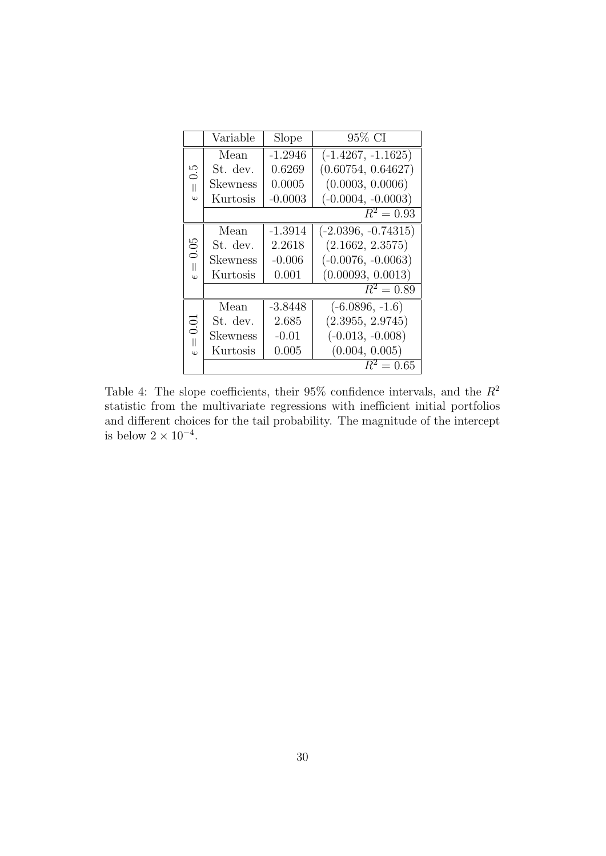|                                           | Variable        | Slope     | 95% CI                |
|-------------------------------------------|-----------------|-----------|-----------------------|
| 6.5                                       | Mean            | $-1.2946$ | $(-1.4267, -1.1625)$  |
|                                           | St. dev.        | 0.6269    | (0.60754, 0.64627)    |
| $\overline{\mathbf{u}}$                   | <b>Skewness</b> | 0.0005    | (0.0003, 0.0006)      |
| Ψ                                         | Kurtosis        | $-0.0003$ | $(-0.0004, -0.0003)$  |
|                                           |                 |           | $R^2 = 0.93$          |
| 0.05<br>$\ensuremath{\mathop{\parallel}}$ | Mean            | $-1.3914$ | $(-2.0396, -0.74315)$ |
|                                           | St. dev.        | 2.2618    | (2.1662, 2.3575)      |
|                                           | <b>Skewness</b> | $-0.006$  | $(-0.0076, -0.0063)$  |
| Ψ                                         | Kurtosis        | 0.001     | (0.00093, 0.0013)     |
|                                           |                 |           | $R^2 = 0.89$          |
| 0.01<br>$\parallel$                       | Mean            | -3.8448   | $(-6.0896, -1.6)$     |
|                                           | St. dev.        | 2.685     | (2.3955, 2.9745)      |
|                                           | <b>Skewness</b> | $-0.01$   | $(-0.013, -0.008)$    |
| ω                                         | Kurtosis        | 0.005     | (0.004, 0.005)        |
|                                           |                 |           | $\overline{R}^2=0.65$ |

Table 4: The slope coefficients, their  $95\%$  confidence intervals, and the  $R^2$ statistic from the multivariate regressions with inefficient initial portfolios and different choices for the tail probability. The magnitude of the intercept is below  $2 \times 10^{-4}$ .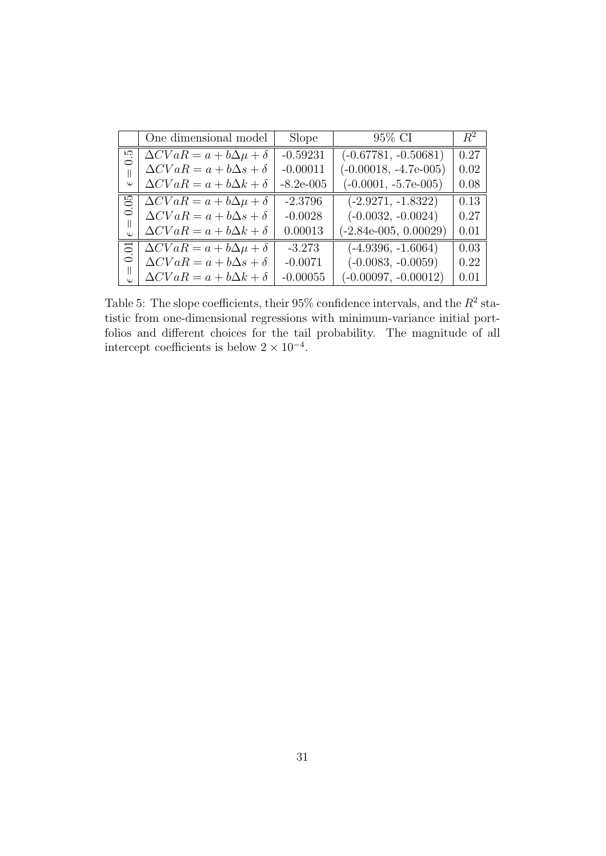|                    | One dimensional model                   | Slope       | 95% CI                          | $R^2$ |
|--------------------|-----------------------------------------|-------------|---------------------------------|-------|
| Ċ                  | $\Delta CVaR = a + b\Delta\mu + \delta$ | $-0.59231$  | $(-0.67781, -0.50681)$          | 0.27  |
|                    | $\Delta CVaR = a + b\Delta s + \delta$  | $-0.00011$  | $(-0.00018, -4.7e-005)$         | 0.02  |
| $\mathsf{U}$       | $\Delta CVaR = a + b\Delta k + \delta$  | $-8.2e-005$ | $(-0.0001, -5.7e-005)$          | 0.08  |
| $\approx$ 1        | $\Delta CVaR = a + b\Delta\mu + \delta$ | $-2.3796$   | $(-2.9271, -1.8322)$            | 0.13  |
| 0                  | $\Delta CVaR = a + b\Delta s + \delta$  | $-0.0028$   | $(-0.0032, -0.0024)$            | 0.27  |
|                    | $\Delta CVaR = a + b\Delta k + \delta$  | 0.00013     | $(-2.84e-005, 0.00029)$         | 0.01  |
| $\overline{\circ}$ | $\Delta CVaR = a + b\Delta\mu + \delta$ | $-3.273$    | $\overline{(-4.9396, -1.6064)}$ | 0.03  |
|                    | $\Delta CVaR = a + b\Delta s + \delta$  | $-0.0071$   | $(-0.0083, -0.0059)$            | 0.22  |
|                    | $\Delta CVaR = a + b\Delta k + \delta$  | $-0.00055$  | $(-0.00097, -0.00012)$          | 0.01  |

Table 5: The slope coefficients, their 95% confidence intervals, and the  $R^2$  statistic from one-dimensional regressions with minimum-variance initial portfolios and different choices for the tail probability. The magnitude of all intercept coefficients is below  $2 \times 10^{-4}$ .